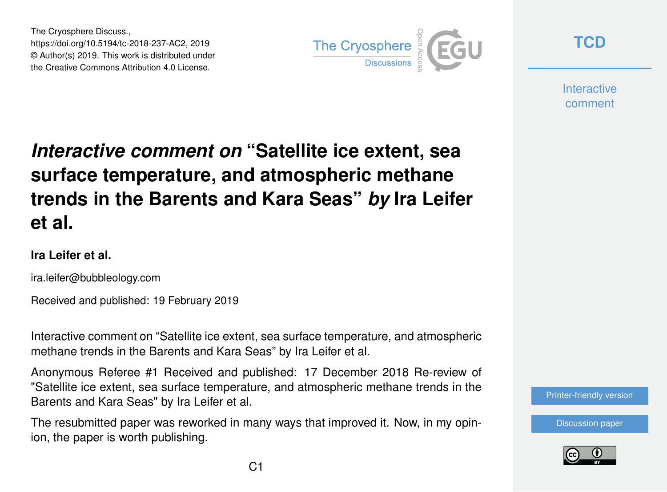The Cryosphere Discuss., https://doi.org/10.5194/tc-2018-237-AC2, 2019 © Author(s) 2019. This work is distributed under the Creative Commons Attribution 4.0 License.



**[TCD](https://www.the-cryosphere-discuss.net/)**

**Interactive** comment

## *Interactive comment on* **"Satellite ice extent, sea surface temperature, and atmospheric methane trends in the Barents and Kara Seas"** *by* **Ira Leifer et al.**

## **Ira Leifer et al.**

ira.leifer@bubbleology.com

Received and published: 19 February 2019

Interactive comment on "Satellite ice extent, sea surface temperature, and atmospheric methane trends in the Barents and Kara Seas" by Ira Leifer et al.

Anonymous Referee #1 Received and published: 17 December 2018 Re-review of "Satellite ice extent, sea surface temperature, and atmospheric methane trends in the Barents and Kara Seas" by Ira Leifer et al.

The resubmitted paper was reworked in many ways that improved it. Now, in my opinion, the paper is worth publishing.



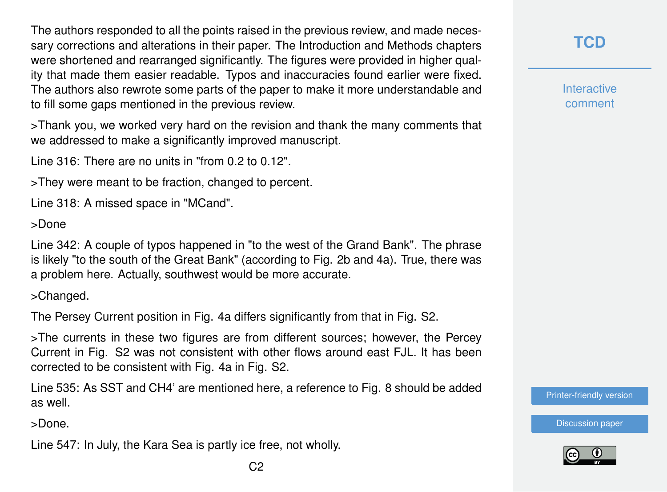The authors responded to all the points raised in the previous review, and made necessary corrections and alterations in their paper. The Introduction and Methods chapters were shortened and rearranged significantly. The figures were provided in higher quality that made them easier readable. Typos and inaccuracies found earlier were fixed. The authors also rewrote some parts of the paper to make it more understandable and to fill some gaps mentioned in the previous review.

>Thank you, we worked very hard on the revision and thank the many comments that we addressed to make a significantly improved manuscript.

Line 316: There are no units in "from 0.2 to 0.12".

>They were meant to be fraction, changed to percent.

Line 318: A missed space in "MCand".

>Done

Line 342: A couple of typos happened in "to the west of the Grand Bank". The phrase is likely "to the south of the Great Bank" (according to Fig. 2b and 4a). True, there was a problem here. Actually, southwest would be more accurate.

>Changed.

The Persey Current position in Fig. 4a differs significantly from that in Fig. S2.

>The currents in these two figures are from different sources; however, the Percey Current in Fig. S2 was not consistent with other flows around east FJL. It has been corrected to be consistent with Fig. 4a in Fig. S2.

Line 535: As SST and CH4' are mentioned here, a reference to Fig. 8 should be added as well.

>Done.

Line 547: In July, the Kara Sea is partly ice free, not wholly.

**Interactive** comment

[Printer-friendly version](https://www.the-cryosphere-discuss.net/tc-2018-237/tc-2018-237-AC2-print.pdf)

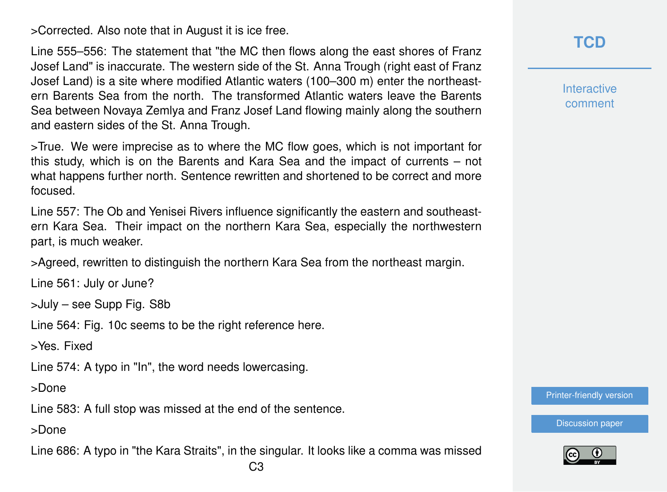>Corrected. Also note that in August it is ice free.

Line 555–556: The statement that "the MC then flows along the east shores of Franz Josef Land" is inaccurate. The western side of the St. Anna Trough (right east of Franz Josef Land) is a site where modified Atlantic waters (100–300 m) enter the northeastern Barents Sea from the north. The transformed Atlantic waters leave the Barents Sea between Novaya Zemlya and Franz Josef Land flowing mainly along the southern and eastern sides of the St. Anna Trough.

>True. We were imprecise as to where the MC flow goes, which is not important for this study, which is on the Barents and Kara Sea and the impact of currents – not what happens further north. Sentence rewritten and shortened to be correct and more focused.

Line 557: The Ob and Yenisei Rivers influence significantly the eastern and southeastern Kara Sea. Their impact on the northern Kara Sea, especially the northwestern part, is much weaker.

>Agreed, rewritten to distinguish the northern Kara Sea from the northeast margin.

Line 561: July or June?

>July – see Supp Fig. S8b

Line 564: Fig. 10c seems to be the right reference here.

>Yes. Fixed

Line 574: A typo in "In", the word needs lowercasing.

>Done

Line 583: A full stop was missed at the end of the sentence.

>Done

Line 686: A typo in "the Kara Straits", in the singular. It looks like a comma was missed

**[TCD](https://www.the-cryosphere-discuss.net/)**

**Interactive** comment

[Printer-friendly version](https://www.the-cryosphere-discuss.net/tc-2018-237/tc-2018-237-AC2-print.pdf)

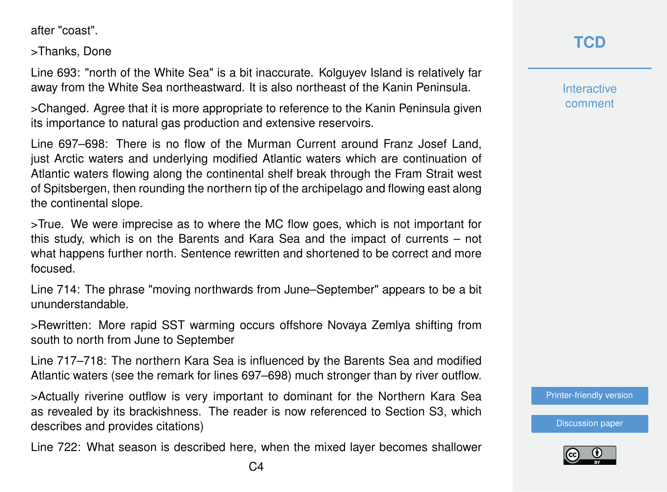after "coast".

>Thanks, Done

Line 693: "north of the White Sea" is a bit inaccurate. Kolguyev Island is relatively far away from the White Sea northeastward. It is also northeast of the Kanin Peninsula.

>Changed. Agree that it is more appropriate to reference to the Kanin Peninsula given its importance to natural gas production and extensive reservoirs.

Line 697–698: There is no flow of the Murman Current around Franz Josef Land, just Arctic waters and underlying modified Atlantic waters which are continuation of Atlantic waters flowing along the continental shelf break through the Fram Strait west of Spitsbergen, then rounding the northern tip of the archipelago and flowing east along the continental slope.

>True. We were imprecise as to where the MC flow goes, which is not important for this study, which is on the Barents and Kara Sea and the impact of currents – not what happens further north. Sentence rewritten and shortened to be correct and more focused.

Line 714: The phrase "moving northwards from June–September" appears to be a bit ununderstandable.

>Rewritten: More rapid SST warming occurs offshore Novaya Zemlya shifting from south to north from June to September

Line 717–718: The northern Kara Sea is influenced by the Barents Sea and modified Atlantic waters (see the remark for lines 697–698) much stronger than by river outflow.

>Actually riverine outflow is very important to dominant for the Northern Kara Sea as revealed by its brackishness. The reader is now referenced to Section S3, which describes and provides citations)

Line 722: What season is described here, when the mixed layer becomes shallower

## **[TCD](https://www.the-cryosphere-discuss.net/)**

**Interactive** comment

[Printer-friendly version](https://www.the-cryosphere-discuss.net/tc-2018-237/tc-2018-237-AC2-print.pdf)